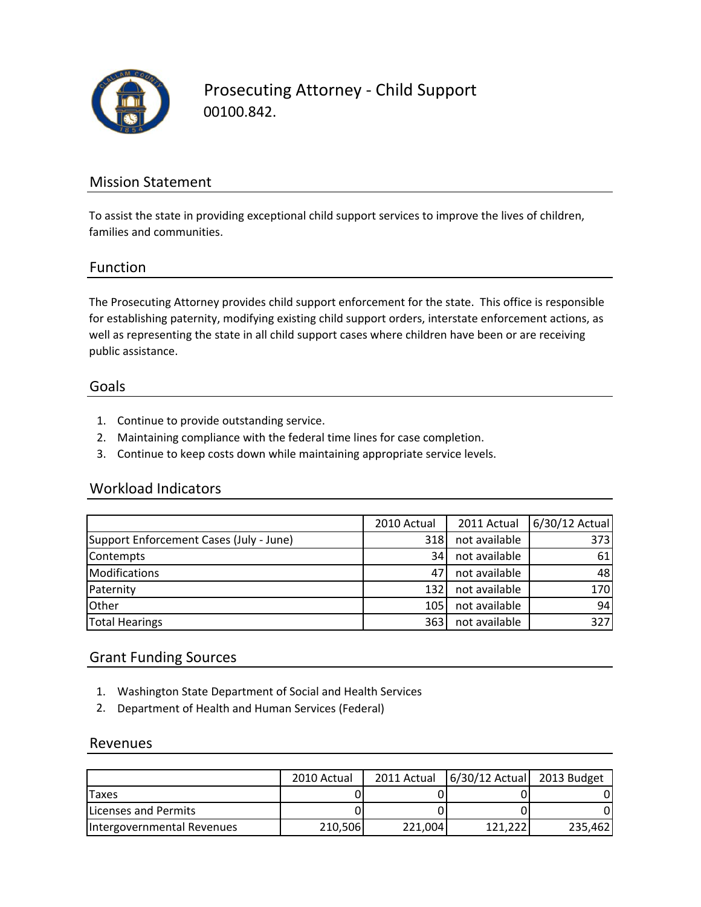

Prosecuting Attorney ‐ Child Support 00100.842.

### Mission Statement

To assist the state in providing exceptional child support services to improve the lives of children, families and communities.

#### Function

The Prosecuting Attorney provides child support enforcement for the state. This office is responsible for establishing paternity, modifying existing child support orders, interstate enforcement actions, as well as representing the state in all child support cases where children have been or are receiving public assistance.

#### Goals

- 1. Continue to provide outstanding service.
- 2. Maintaining compliance with the federal time lines for case completion.
- 3. Continue to keep costs down while maintaining appropriate service levels.

#### Workload Indicators

|                                         | 2010 Actual | 2011 Actual   | 6/30/12 Actual |
|-----------------------------------------|-------------|---------------|----------------|
| Support Enforcement Cases (July - June) | 318         | not available | 373            |
| Contempts                               | 34I         | not available | 61             |
| <b>Modifications</b>                    | 471         | not available | 48             |
| Paternity                               | 132         | not available | 170            |
| Other                                   | 105         | not available | 94             |
| <b>Total Hearings</b>                   | 363         | not available | 327            |

#### Grant Funding Sources

- 1. Washington State Department of Social and Health Services
- 2. Department of Health and Human Services (Federal)

#### Revenues

|                              | 2010 Actual | 2011 Actual | 6/30/12 Actual 2013 Budget |         |
|------------------------------|-------------|-------------|----------------------------|---------|
| Taxes                        |             |             |                            |         |
| <b>ILicenses and Permits</b> |             |             |                            |         |
| Intergovernmental Revenues   | 210,506     | 221.004     | 121.222                    | 235,462 |